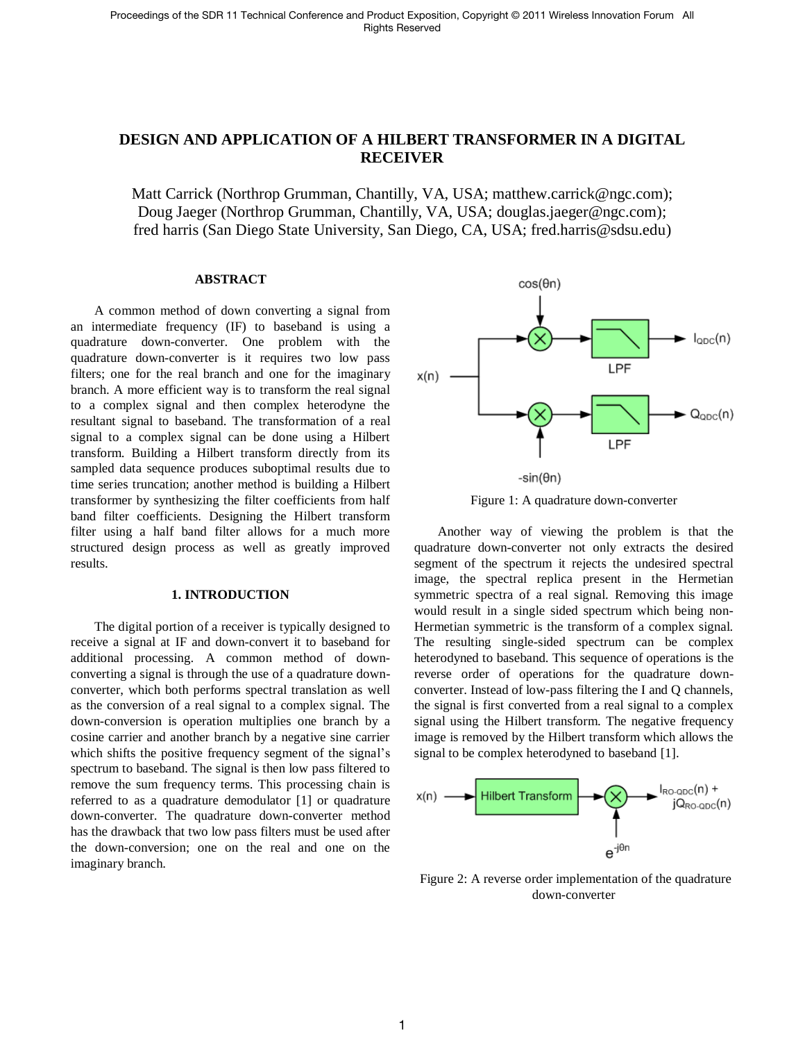# **DESIGN AND APPLICATION OF A HILBERT TRANSFORMER IN A DIGITAL RECEIVER**

Matt Carrick (Northrop Grumman, Chantilly, VA, USA; matthew.carrick@ngc.com); Doug Jaeger (Northrop Grumman, Chantilly, VA, USA; douglas.jaeger@ngc.com); fred harris (San Diego State University, San Diego, CA, USA; fred.harris@sdsu.edu)

### **ABSTRACT**

A common method of down converting a signal from an intermediate frequency (IF) to baseband is using a quadrature down-converter. One problem with the quadrature down-converter is it requires two low pass filters; one for the real branch and one for the imaginary branch. A more efficient way is to transform the real signal to a complex signal and then complex heterodyne the resultant signal to baseband. The transformation of a real signal to a complex signal can be done using a Hilbert transform. Building a Hilbert transform directly from its sampled data sequence produces suboptimal results due to time series truncation; another method is building a Hilbert transformer by synthesizing the filter coefficients from half band filter coefficients. Designing the Hilbert transform filter using a half band filter allows for a much more structured design process as well as greatly improved results.

#### **1. INTRODUCTION**

The digital portion of a receiver is typically designed to receive a signal at IF and down-convert it to baseband for additional processing. A common method of downconverting a signal is through the use of a quadrature downconverter, which both performs spectral translation as well as the conversion of a real signal to a complex signal. The down-conversion is operation multiplies one branch by a cosine carrier and another branch by a negative sine carrier which shifts the positive frequency segment of the signal's spectrum to baseband. The signal is then low pass filtered to remove the sum frequency terms. This processing chain is referred to as a quadrature demodulator [1] or quadrature down-converter. The quadrature down-converter method has the drawback that two low pass filters must be used after the down-conversion; one on the real and one on the imaginary branch.





Another way of viewing the problem is that the quadrature down-converter not only extracts the desired segment of the spectrum it rejects the undesired spectral image, the spectral replica present in the Hermetian symmetric spectra of a real signal. Removing this image would result in a single sided spectrum which being non-Hermetian symmetric is the transform of a complex signal. The resulting single-sided spectrum can be complex heterodyned to baseband. This sequence of operations is the reverse order of operations for the quadrature downconverter. Instead of low-pass filtering the I and Q channels, the signal is first converted from a real signal to a complex signal using the Hilbert transform. The negative frequency image is removed by the Hilbert transform which allows the signal to be complex heterodyned to baseband [1].



Figure 2: A reverse order implementation of the quadrature down-converter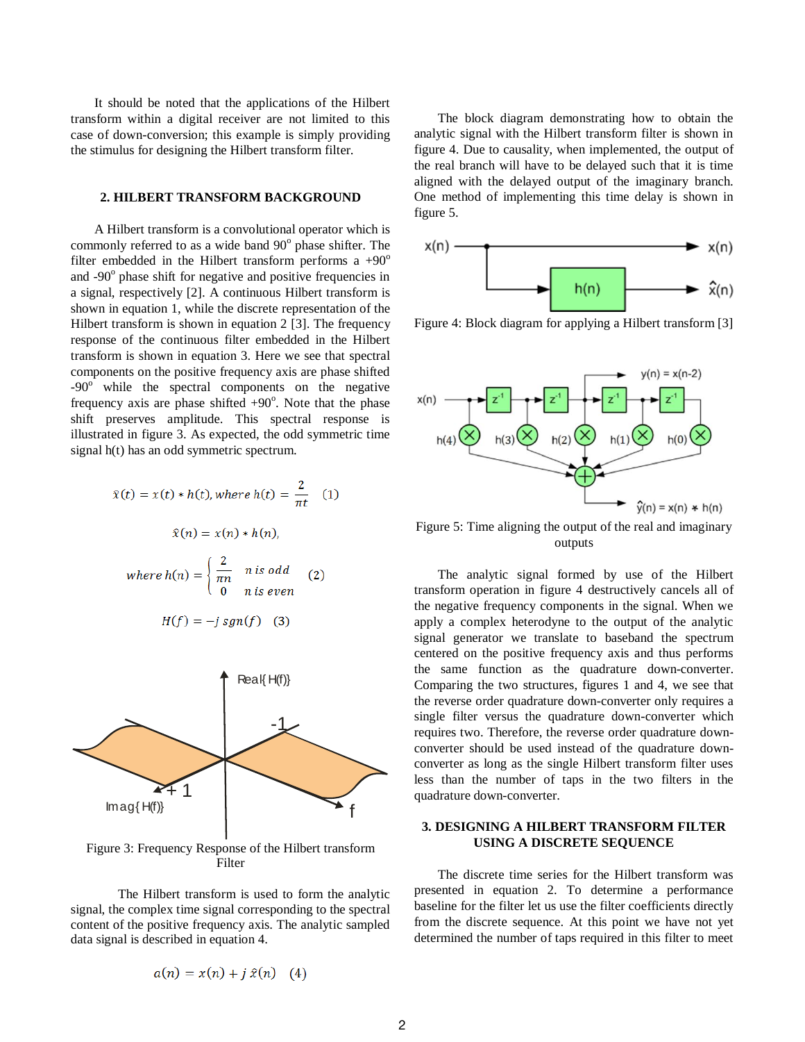It should be noted that the applications of the Hilbert transform within a digital receiver are not limited to this case of down-conversion; this example is simply providing the stimulus for designing the Hilbert transform filter.

### **2. HILBERT TRANSFORM BACKGROUND**

A Hilbert transform is a convolutional operator which is commonly referred to as a wide band  $90^\circ$  phase shifter. The filter embedded in the Hilbert transform performs a  $+90^\circ$ and -90<sup>°</sup> phase shift for negative and positive frequencies in a signal, respectively [2]. A continuous Hilbert transform is shown in equation 1, while the discrete representation of the Hilbert transform is shown in equation 2 [3]. The frequency response of the continuous filter embedded in the Hilbert transform is shown in equation 3. Here we see that spectral components on the positive frequency axis are phase shifted  $-90^\circ$  while the spectral components on the negative frequency axis are phase shifted  $+90^\circ$ . Note that the phase shift preserves amplitude. This spectral response is illustrated in figure 3. As expected, the odd symmetric time signal h(t) has an odd symmetric spectrum.

$$
\hat{x}(t) = x(t) * h(t), \text{ where } h(t) = \frac{2}{\pi t} \quad (1)
$$
\n
$$
\hat{x}(n) = x(n) * h(n),
$$
\n
$$
\text{where } h(n) = \begin{cases} \frac{2}{\pi n} & n \text{ is odd} \\ 0 & n \text{ is even} \end{cases} \quad (2)
$$

$$
H(f) = -j \, sgn(f) \quad (3)
$$



Figure 3: Frequency Response of the Hilbert transform Filter

The Hilbert transform is used to form the analytic signal, the complex time signal corresponding to the spectral content of the positive frequency axis. The analytic sampled data signal is described in equation 4.

$$
a(n) = x(n) + j \hat{x}(n) \quad (4)
$$

The block diagram demonstrating how to obtain the analytic signal with the Hilbert transform filter is shown in figure 4. Due to causality, when implemented, the output of the real branch will have to be delayed such that it is time aligned with the delayed output of the imaginary branch. One method of implementing this time delay is shown in figure 5.



Figure 4: Block diagram for applying a Hilbert transform [3]



Figure 5: Time aligning the output of the real and imaginary outputs

The analytic signal formed by use of the Hilbert transform operation in figure 4 destructively cancels all of the negative frequency components in the signal. When we apply a complex heterodyne to the output of the analytic signal generator we translate to baseband the spectrum centered on the positive frequency axis and thus performs the same function as the quadrature down-converter. Comparing the two structures, figures 1 and 4, we see that the reverse order quadrature down-converter only requires a single filter versus the quadrature down-converter which requires two. Therefore, the reverse order quadrature downconverter should be used instead of the quadrature downconverter as long as the single Hilbert transform filter uses less than the number of taps in the two filters in the quadrature down-converter.

# **3. DESIGNING A HILBERT TRANSFORM FILTER USING A DISCRETE SEQUENCE**

The discrete time series for the Hilbert transform was presented in equation 2. To determine a performance baseline for the filter let us use the filter coefficients directly from the discrete sequence. At this point we have not yet determined the number of taps required in this filter to meet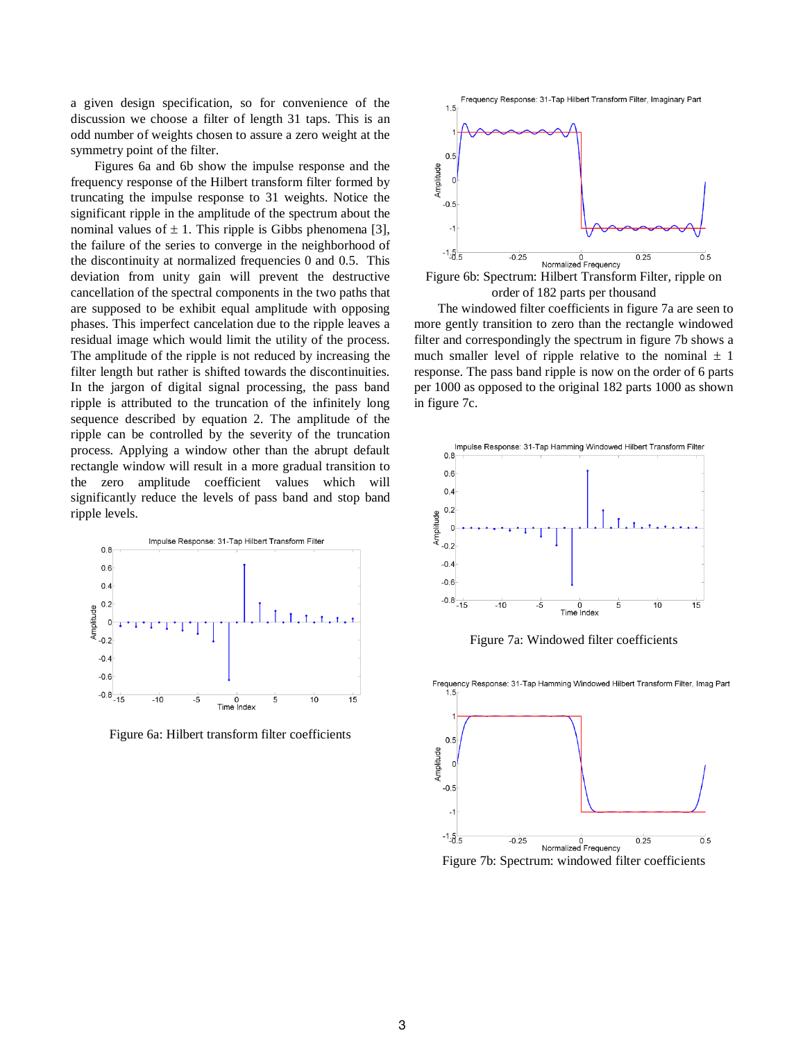a given design specification, so for convenience of the discussion we choose a filter of length 31 taps. This is an odd number of weights chosen to assure a zero weight at the symmetry point of the filter.

Figures 6a and 6b show the impulse response and the frequency response of the Hilbert transform filter formed by truncating the impulse response to 31 weights. Notice the significant ripple in the amplitude of the spectrum about the nominal values of  $\pm$  1. This ripple is Gibbs phenomena [3], the failure of the series to converge in the neighborhood of the discontinuity at normalized frequencies 0 and 0.5. This deviation from unity gain will prevent the destructive cancellation of the spectral components in the two paths that are supposed to be exhibit equal amplitude with opposing phases. This imperfect cancelation due to the ripple leaves a residual image which would limit the utility of the process. The amplitude of the ripple is not reduced by increasing the filter length but rather is shifted towards the discontinuities. In the jargon of digital signal processing, the pass band ripple is attributed to the truncation of the infinitely long sequence described by equation 2. The amplitude of the ripple can be controlled by the severity of the truncation process. Applying a window other than the abrupt default rectangle window will result in a more gradual transition to the zero amplitude coefficient values which will significantly reduce the levels of pass band and stop band ripple levels.



Figure 6a: Hilbert transform filter coefficients



Figure 6b: Spectrum: Hilbert Transform Filter, ripple on order of 182 parts per thousand

The windowed filter coefficients in figure 7a are seen to more gently transition to zero than the rectangle windowed filter and correspondingly the spectrum in figure 7b shows a much smaller level of ripple relative to the nominal  $\pm$  1 response. The pass band ripple is now on the order of 6 parts per 1000 as opposed to the original 182 parts 1000 as shown in figure 7c.



Figure 7a: Windowed filter coefficients



Figure 7b: Spectrum: windowed filter coefficients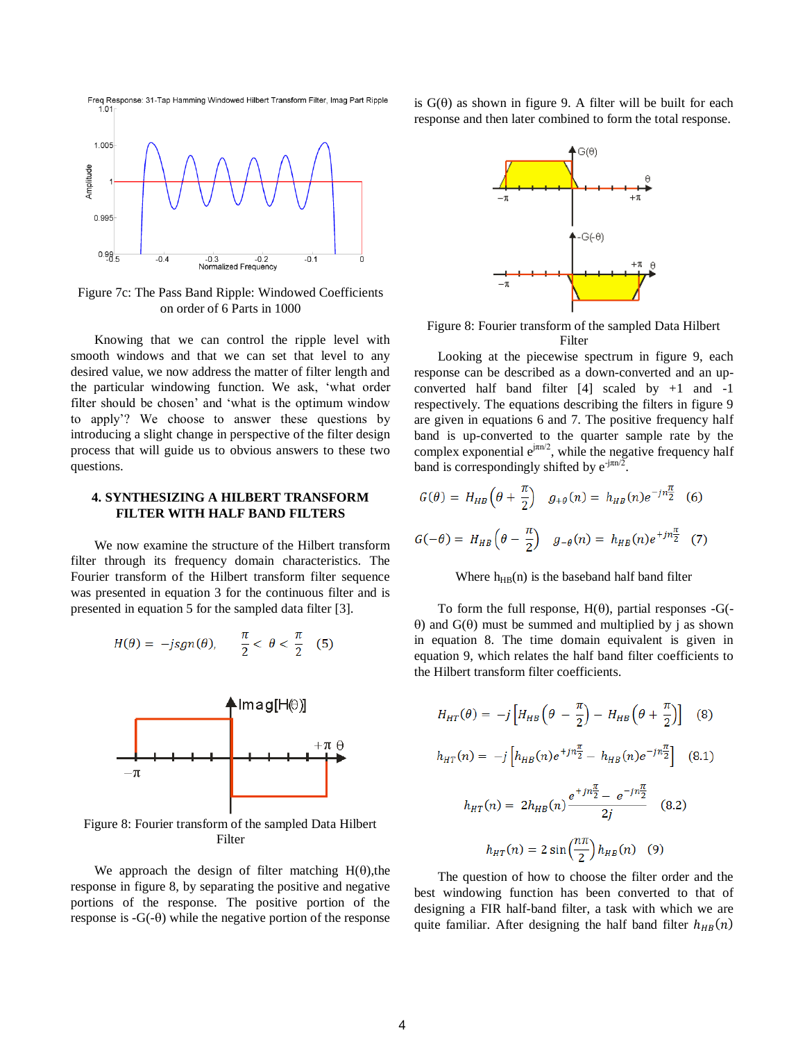

Figure 7c: The Pass Band Ripple: Windowed Coefficients on order of 6 Parts in 1000

Knowing that we can control the ripple level with smooth windows and that we can set that level to any desired value, we now address the matter of filter length and the particular windowing function. We ask, 'what order filter should be chosen' and 'what is the optimum window to apply'? We choose to answer these questions by introducing a slight change in perspective of the filter design process that will guide us to obvious answers to these two questions.

# **4. SYNTHESIZING A HILBERT TRANSFORM FILTER WITH HALF BAND FILTERS**

We now examine the structure of the Hilbert transform filter through its frequency domain characteristics. The Fourier transform of the Hilbert transform filter sequence was presented in equation 3 for the continuous filter and is presented in equation 5 for the sampled data filter [3].

$$
H(\theta) = -jsgn(\theta), \qquad \frac{\pi}{2} < \theta < \frac{\pi}{2} \quad (5)
$$



Figure 8: Fourier transform of the sampled Data Hilbert Filter

We approach the design of filter matching  $H(\theta)$ , the response in figure 8, by separating the positive and negative portions of the response. The positive portion of the response is  $-G(-\theta)$  while the negative portion of the response is  $G(\theta)$  as shown in figure 9. A filter will be built for each response and then later combined to form the total response.



Figure 8: Fourier transform of the sampled Data Hilbert Filter

Looking at the piecewise spectrum in figure 9, each response can be described as a down-converted and an upconverted half band filter [4] scaled by +1 and -1 respectively. The equations describing the filters in figure 9 are given in equations 6 and 7. The positive frequency half band is up-converted to the quarter sample rate by the complex exponential  $e^{j\pi n/2}$ , while the negative frequency half band is correspondingly shifted by  $e^{-j\pi n/2}$ .

$$
G(\theta) = H_{HB} \left( \theta + \frac{\pi}{2} \right) \quad g_{+\theta}(n) = h_{HB}(n) e^{-jn\frac{\pi}{2}} \quad (6)
$$

$$
G(-\theta) = H_{HB} \left( \theta - \frac{\pi}{2} \right) \quad g_{-\theta}(n) = h_{HB}(n) e^{+jn\frac{\pi}{2}} \quad (7)
$$

#### Where  $h_{HB}(n)$  is the baseband half band filter

To form the full response,  $H(\theta)$ , partial responses -G(- $\theta$ ) and  $G(\theta)$  must be summed and multiplied by j as shown in equation 8. The time domain equivalent is given in equation 9, which relates the half band filter coefficients to the Hilbert transform filter coefficients.

$$
H_{HT}(\theta) = -j \left[ H_{HB} \left( \theta - \frac{\pi}{2} \right) - H_{HB} \left( \theta + \frac{\pi}{2} \right) \right] \quad (8)
$$
  

$$
h_{HT}(n) = -j \left[ h_{HB}(n) e^{+jn\frac{\pi}{2}} - h_{HB}(n) e^{-jn\frac{\pi}{2}} \right] \quad (8.1)
$$
  

$$
h_{HT}(n) = 2h_{HB}(n) \frac{e^{+jn\frac{\pi}{2}} - e^{-jn\frac{\pi}{2}}}{2j} \quad (8.2)
$$
  

$$
h_{HT}(n) = 2 \sin \left( \frac{n\pi}{2} \right) h_{HB}(n) \quad (9)
$$

The question of how to choose the filter order and the best windowing function has been converted to that of designing a FIR half-band filter, a task with which we are quite familiar. After designing the half band filter  $h_{HB}(n)$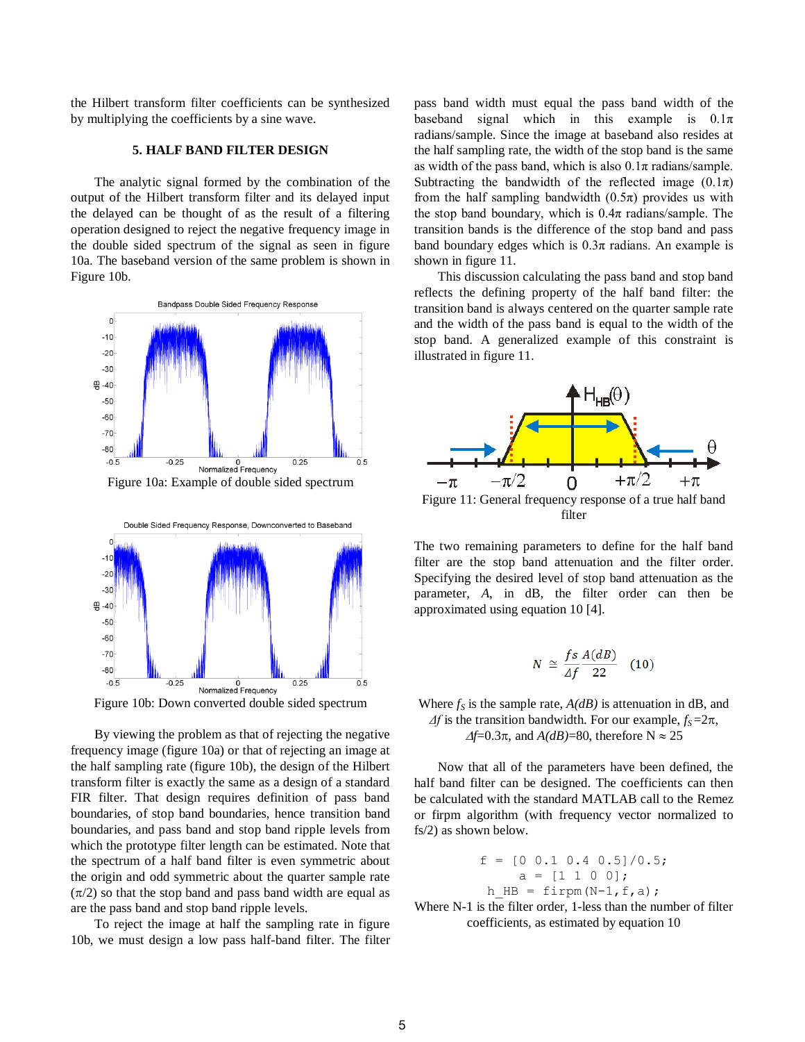the Hilbert transform filter coefficients can be synthesized by multiplying the coefficients by a sine wave.

# **5. HALF BAND FILTER DESIGN**

The analytic signal formed by the combination of the output of the Hilbert transform filter and its delayed input the delayed can be thought of as the result of a filtering operation designed to reject the negative frequency image in the double sided spectrum of the signal as seen in figure 10a. The baseband version of the same problem is shown in Figure 10b.



Figure 10a: Example of double sided spectrum



Figure 10b: Down converted double sided spectrum

By viewing the problem as that of rejecting the negative frequency image (figure 10a) or that of rejecting an image at the half sampling rate (figure 10b), the design of the Hilbert transform filter is exactly the same as a design of a standard FIR filter. That design requires definition of pass band boundaries, of stop band boundaries, hence transition band boundaries, and pass band and stop band ripple levels from which the prototype filter length can be estimated. Note that the spectrum of a half band filter is even symmetric about the origin and odd symmetric about the quarter sample rate  $(\pi/2)$  so that the stop band and pass band width are equal as are the pass band and stop band ripple levels.

To reject the image at half the sampling rate in figure 10b, we must design a low pass half-band filter. The filter pass band width must equal the pass band width of the baseband signal which in this example is  $0.1\pi$ radians/sample. Since the image at baseband also resides at the half sampling rate, the width of the stop band is the same as width of the pass band, which is also  $0.1\pi$  radians/sample. Subtracting the bandwidth of the reflected image  $(0.1\pi)$ from the half sampling bandwidth  $(0.5\pi)$  provides us with the stop band boundary, which is  $0.4\pi$  radians/sample. The transition bands is the difference of the stop band and pass band boundary edges which is  $0.3\pi$  radians. An example is shown in figure 11.

This discussion calculating the pass band and stop band reflects the defining property of the half band filter: the transition band is always centered on the quarter sample rate and the width of the pass band is equal to the width of the stop band. A generalized example of this constraint is illustrated in figure 11.



The two remaining parameters to define for the half band filter are the stop band attenuation and the filter order. Specifying the desired level of stop band attenuation as the parameter, *A*, in dB, the filter order can then be approximated using equation 10 [4].

$$
N \cong \frac{fs}{\Delta f} \frac{A(dB)}{22} \quad (10)
$$

Where  $f<sub>S</sub>$  is the sample rate,  $A(dB)$  is attenuation in dB, and  $\Delta f$  is the transition bandwidth. For our example,  $f_s = 2\pi$ ,  $\Delta f$ =0.3 $\pi$ , and *A(dB)*=80, therefore N  $\approx$  25

Now that all of the parameters have been defined, the half band filter can be designed. The coefficients can then be calculated with the standard MATLAB call to the Remez or firpm algorithm (with frequency vector normalized to fs/2) as shown below.

$$
f = [0 \ 0.1 \ 0.4 \ 0.5]/0.5;
$$
  
\n
$$
a = [1 \ 1 \ 0 \ 0];
$$
  
\n
$$
h_HB = firpm(N-1, f, a);
$$

Where N-1 is the filter order, 1-less than the number of filter coefficients, as estimated by equation 10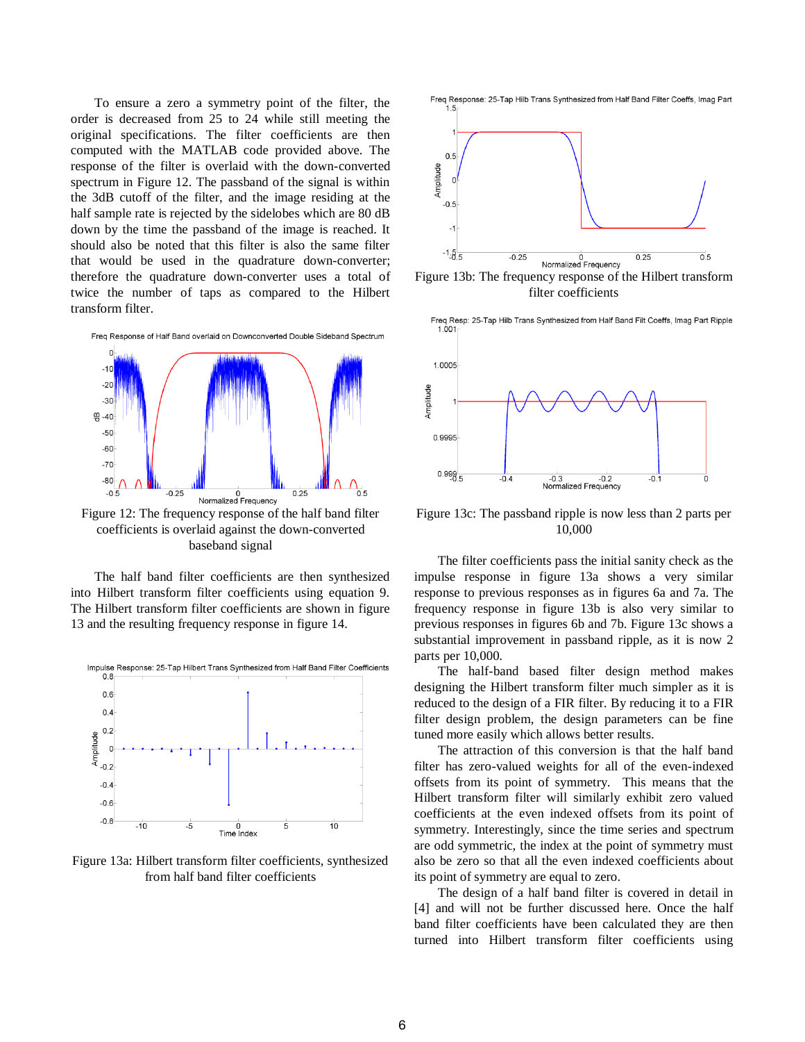To ensure a zero a symmetry point of the filter, the order is decreased from 25 to 24 while still meeting the original specifications. The filter coefficients are then computed with the MATLAB code provided above. The response of the filter is overlaid with the down-converted spectrum in Figure 12. The passband of the signal is within the 3dB cutoff of the filter, and the image residing at the half sample rate is rejected by the sidelobes which are 80 dB down by the time the passband of the image is reached. It should also be noted that this filter is also the same filter that would be used in the quadrature down-converter; therefore the quadrature down-converter uses a total of twice the number of taps as compared to the Hilbert transform filter.



Figure 12: The frequency response of the half band filter coefficients is overlaid against the down-converted baseband signal

The half band filter coefficients are then synthesized into Hilbert transform filter coefficients using equation 9. The Hilbert transform filter coefficients are shown in figure 13 and the resulting frequency response in figure 14.



Figure 13a: Hilbert transform filter coefficients, synthesized from half band filter coefficients



Figure 13b: The frequency response of the Hilbert transform filter coefficients



Figure 13c: The passband ripple is now less than 2 parts per 10,000

The filter coefficients pass the initial sanity check as the impulse response in figure 13a shows a very similar response to previous responses as in figures 6a and 7a. The frequency response in figure 13b is also very similar to previous responses in figures 6b and 7b. Figure 13c shows a substantial improvement in passband ripple, as it is now 2 parts per 10,000.

The half-band based filter design method makes designing the Hilbert transform filter much simpler as it is reduced to the design of a FIR filter. By reducing it to a FIR filter design problem, the design parameters can be fine tuned more easily which allows better results.

The attraction of this conversion is that the half band filter has zero-valued weights for all of the even-indexed offsets from its point of symmetry. This means that the Hilbert transform filter will similarly exhibit zero valued coefficients at the even indexed offsets from its point of symmetry. Interestingly, since the time series and spectrum are odd symmetric, the index at the point of symmetry must also be zero so that all the even indexed coefficients about its point of symmetry are equal to zero.

The design of a half band filter is covered in detail in [4] and will not be further discussed here. Once the half band filter coefficients have been calculated they are then turned into Hilbert transform filter coefficients using